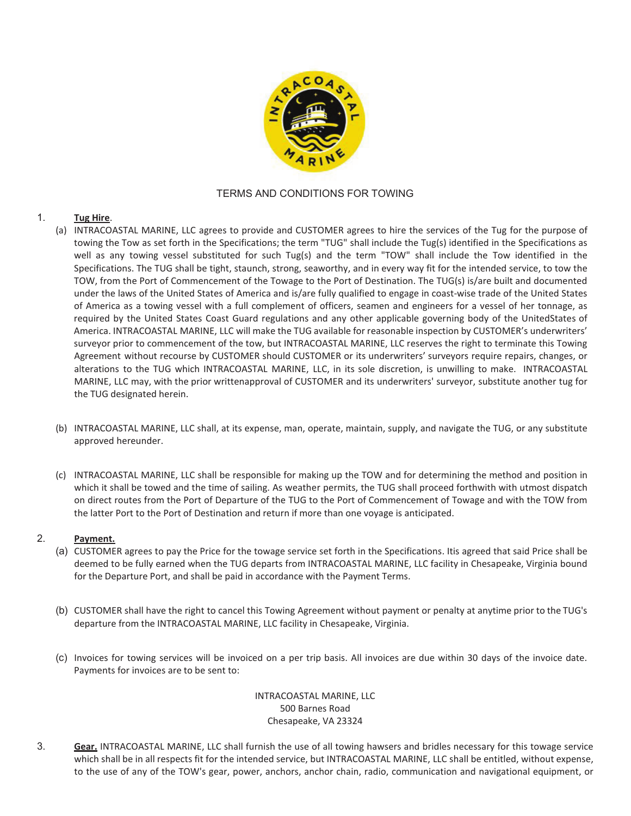

# TERMS AND CONDITIONS FOR TOWING

### 1. **Tug Hire**.

- (a) INTRACOASTAL MARINE, LLC agrees to provide and CUSTOMER agrees to hire the services of the Tug for the purpose of towing the Tow as set forth in the Specifications; the term "TUG" shall include the Tug(s) identified in the Specifications as well as any towing vessel substituted for such Tug(s) and the term "TOW" shall include the Tow identified in the Specifications. The TUG shall be tight, staunch, strong, seaworthy, and in every way fit for the intended service, to tow the TOW, from the Port of Commencement of the Towage to the Port of Destination. The TUG(s) is/are built and documented under the laws of the United States of America and is/are fully qualified to engage in coast-wise trade of the United States of America as a towing vessel with a full complement of officers, seamen and engineers for a vessel of her tonnage, as required by the United States Coast Guard regulations and any other applicable governing body of the United States of America. INTRACOASTAL MARINE, LLC will make the TUG available for reasonable inspection by CUSTOMER's underwriters' surveyor prior to commencement of the tow, but INTRACOASTAL MARINE, LLC reserves the right to terminate this Towing Agreement without recourse by CUSTOMER should CUSTOMER or its underwriters' surveyors require repairs, changes, or alterations to the TUG which INTRACOASTAL MARINE, LLC, in its sole discretion, is unwilling to make. INTRACOASTAL MARINE, LLC may, with the prior writtenapproval of CUSTOMER and its underwriters' surveyor, substitute another tug for the TUG designated herein.
- (b) INTRACOASTAL MARINE, LLC shall, at its expense, man, operate, maintain, supply, and navigate the TUG, or any substitute approved hereunder.
- (c) INTRACOASTAL MARINE, LLC shall be responsible for making up the TOW and for determining the method and position in which it shall be towed and the time of sailing. As weather permits, the TUG shall proceed forthwith with utmost dispatch on direct routes from the Port of Departure of the TUG to the Port of Commencement of Towage and with the TOW from the latter Port to the Port of Destination and return if more than one voyage is anticipated.

# 2. **Payment.**

- (a) CUSTOMER agrees to pay the Price for the towage service set forth in the Specifications. It is agreed that said Price shall be deemed to be fully earned when the TUG departs from INTRACOASTAL MARINE, LLC facility in Chesapeake, Virginia bound for the Departure Port, and shall be paid in accordance with the Payment Terms.
- (b) CUSTOMER shall have the right to cancel this Towing Agreement without payment or penalty at any time prior to the TUG's departure from the INTRACOASTAL MARINE, LLC facility in Chesapeake, Virginia.
- (c) Invoices for towing services will be invoiced on a per trip basis. All invoices are due within 30 days of the invoice date. Payments for invoices are to be sent to:

 INTRACOASTAL MARINE, LLC 500 Barnes Road Chesapeake, VA 23324

3. **Gear.** INTRACOASTAL MARINE, LLC shall furnish the use of all towing hawsers and bridles necessary for this towage service which shall be in all respects fit for the intended service, but INTRACOASTAL MARINE, LLC shall be entitled, without expense, to the use of any of the TOW's gear, power, anchors, anchor chain, radio, communication and navigational equipment, or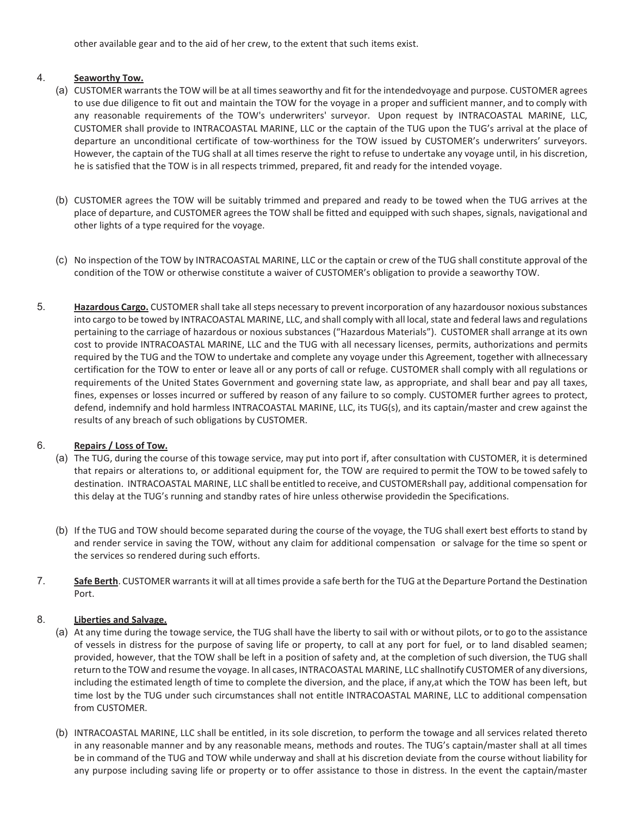other available gear and to the aid of her crew, to the extent that such items exist.

#### 4. **Seaworthy Tow.**

- (a) CUSTOMER warrants the TOW will be at all times seaworthy and fit for the intendedvoyage and purpose. CUSTOMER agrees to use due diligence to fit out and maintain the TOW for the voyage in a proper and sufficient manner, and to comply with any reasonable requirements of the TOW's underwriters' surveyor. Upon request by INTRACOASTAL MARINE, LLC, CUSTOMER shall provide to INTRACOASTAL MARINE, LLC or the captain of the TUG upon the TUG's arrival at the place of departure an unconditional certificate of tow-worthiness for the TOW issued by CUSTOMER's underwriters' surveyors. However, the captain of the TUG shall at all times reserve the right to refuse to undertake any voyage until, in his discretion, he is satisfied that the TOW is in all respects trimmed, prepared, fit and ready for the intended voyage.
- (b) CUSTOMER agrees the TOW will be suitably trimmed and prepared and ready to be towed when the TUG arrives at the place of departure, and CUSTOMER agrees the TOW shall be fitted and equipped with such shapes, signals, navigational and other lights of a type required for the voyage.
- (c) No inspection of the TOW by INTRACOASTAL MARINE, LLC or the captain or crew of the TUG shall constitute approval of the condition of the TOW or otherwise constitute a waiver of CUSTOMER's obligation to provide a seaworthy TOW.
- 5. **Hazardous Cargo.** CUSTOMER shall take all steps necessary to prevent incorporation of any hazardous or noxious substances into cargo to be towed by INTRACOASTAL MARINE, LLC, and shall comply with all local, state and federal laws and regulations pertaining to the carriage of hazardous or noxious substances ("Hazardous Materials"). CUSTOMER shall arrange at its own cost to provide INTRACOASTAL MARINE, LLC and the TUG with all necessary licenses, permits, authorizations and permits required by the TUG and the TOW to undertake and complete any voyage under this Agreement, together with allnecessary certification for the TOW to enter or leave all or any ports of call or refuge. CUSTOMER shall comply with all regulations or requirements of the United States Government and governing state law, as appropriate, and shall bear and pay all taxes, fines, expenses or losses incurred or suffered by reason of any failure to so comply. CUSTOMER further agrees to protect, defend, indemnify and hold harmless INTRACOASTAL MARINE, LLC, its TUG(s), and its captain/master and crew against the results of any breach of such obligations by CUSTOMER.

#### 6. **Repairs / Loss of Tow.**

- (a) The TUG, during the course of this towage service, may put into port if, after consultation with CUSTOMER, it is determined that repairs or alterations to, or additional equipment for, the TOW are required to permit the TOW to be towed safely to destination. INTRACOASTAL MARINE, LLC shall be entitled to receive, and CUSTOMER shall pay, additional compensation for this delay at the TUG's running and standby rates of hire unless otherwise provided in the Specifications.
- (b) If the TUG and TOW should become separated during the course of the voyage, the TUG shall exert best efforts to stand by and render service in saving the TOW, without any claim for additional compensation or salvage for the time so spent or the services so rendered during such efforts.
- 7. Safe Berth. CUSTOMER warrants it will at all times provide a safe berth for the TUG at the Departure Portand the Destination Port.

#### 8. **Liberties and Salvage.**

- (a) At any time during the towage service, the TUG shall have the liberty to sail with or without pilots, or to go to the assistance of vessels in distress for the purpose of saving life or property, to call at any port for fuel, or to land disabled seamen; provided, however, that the TOW shall be left in a position of safety and, at the completion of such diversion, the TUG shall return to the TOW and resume the voyage. In all cases, INTRACOASTAL MARINE, LLC shall notify CUSTOMER of any diversions, including the estimated length of time to complete the diversion, and the place, if any, at which the TOW has been left, but time lost by the TUG under such circumstances shall not entitle INTRACOASTAL MARINE, LLC to additional compensation from CUSTOMER.
- (b) INTRACOASTAL MARINE, LLC shall be entitled, in its sole discretion, to perform the towage and all services related thereto in any reasonable manner and by any reasonable means, methods and routes. The TUG's captain/master shall at all times be in command of the TUG and TOW while underway and shall at his discretion deviate from the course without liability for any purpose including saving life or property or to offer assistance to those in distress. In the event the captain/master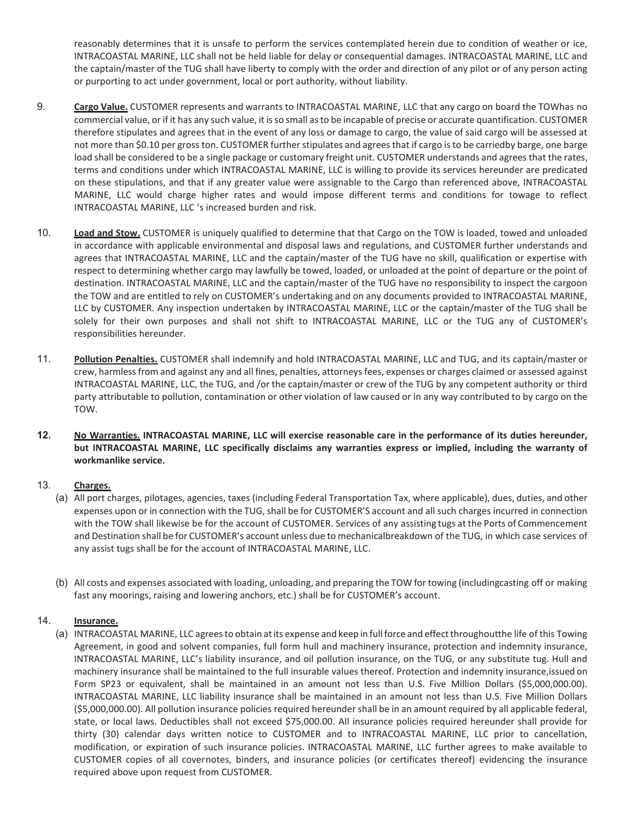reasonably determines that it is unsafe to perform the services contemplated herein due to condition of weather or ice, INTRACOASTAL MARINE, LLC shall not be held liable for delay or consequential damages. INTRACOASTAL MARINE, LLC and the captain/master of the TUG shall have liberty to comply with the order and direction of any pilot or of any person acting or purporting to act under government, local or port authority, without liability.

- 9. **Cargo Value.** CUSTOMER represents and warrants to INTRACOASTAL MARINE, LLC that any cargo on board the TOW has no commercial value, or if it has any such value, it is so small as to be incapable of precise or accurate quantification. CUSTOMER therefore stipulates and agrees that in the event of any loss or damage to cargo, the value of said cargo will be assessed at not more than \$0.10 per gross ton. CUSTOMER further stipulates and agrees that if cargo is to be carried by barge, one barge load shall be considered to be a single package or customary freight unit. CUSTOMER understands and agrees that the rates, terms and conditions under which INTRACOASTAL MARINE, LLC is willing to provide its services hereunder are predicated on these stipulations, and that if any greater value were assignable to the Cargo than referenced above, INTRACOASTAL MARINE, LLC would charge higher rates and would impose different terms and conditions for towage to reflect INTRACOASTAL MARINE, LLC 's increased burden and risk.
- 10. **Load and Stow.** CUSTOMER is uniquely qualified to determine that that Cargo on the TOW is loaded, towed and unloaded in accordance with applicable environmental and disposal laws and regulations, and CUSTOMER further understands and agrees that INTRACOASTAL MARINE, LLC and the captain/master of the TUG have no skill, qualification or expertise with respect to determining whether cargo may lawfully be towed, loaded, or unloaded at the point of departure or the point of destination. INTRACOASTAL MARINE, LLC and the captain/master of the TUG have no responsibility to inspect the cargoon the TOW and are entitled to rely on CUSTOMER's undertaking and on any documents provided to INTRACOASTAL MARINE, LLC by CUSTOMER. Any inspection undertaken by INTRACOASTAL MARINE, LLC or the captain/master of the TUG shall be solely for their own purposes and shall not shift to INTRACOASTAL MARINE, LLC or the TUG any of CUSTOMER's responsibilities hereunder.
- 11. **Pollution Penalties.** CUSTOMER shall indemnify and hold INTRACOASTAL MARINE, LLC and TUG, and its captain/master or crew, harmless from and against any and all fines, penalties, attorneys fees, expenses or charges claimed or assessed against INTRACOASTAL MARINE, LLC, the TUG, and /or the captain/master or crew of the TUG by any competent authority or third party attributable to pollution, contamination or other violation of law caused or in any way contributed to by cargo on the TOW.
- **12. No Warranties. INTRACOASTAL MARINE, LLC will exercise reasonable care in the performance of its duties hereunder, but INTRACOASTAL MARINE, LLC specifically disclaims any warranties express or implied, including the warranty of workmanlike service.**

### 13. **Charges.**

- (a) All port charges, pilotages, agencies, taxes (including Federal Transportation Tax, where applicable), dues, duties, and other expenses upon or in connection with the TUG, shall be for CUSTOMER'S account and all such charges incurred in connection with the TOW shall likewise be for the account of CUSTOMER. Services of any assisting tugs at the Ports of Commencement and Destination shall be for CUSTOMER's account unless due to mechanicalbreakdown of the TUG, in which case services of any assist tugs shall be for the account of INTRACOASTAL MARINE, LLC.
- (b) All costs and expenses associated with loading, unloading, and preparing the TOW for towing (including casting off or making fast any moorings, raising and lowering anchors, etc.) shall be for CUSTOMER's account.

#### 14. **Insurance.**

(a) INTRACOASTAL MARINE, LLC agrees to obtain at its expense and keep in full force and effect throughout the life of this Towing Agreement, in good and solvent companies, full form hull and machinery insurance, protection and indemnity insurance, INTRACOASTAL MARINE, LLC's liability insurance, and oil pollution insurance, on the TUG, or any substitute tug. Hull and machinery insurance shall be maintained to the full insurable values thereof. Protection and indemnity insurance, issued on Form SP23 or equivalent, shall be maintained in an amount not less than U.S. Five Million Dollars (\$5,000,000.00). INTRACOASTAL MARINE, LLC liability insurance shall be maintained in an amount not less than U.S. Five Million Dollars (\$5,000,000.00). All pollution insurance policies required hereunder shall be in an amount required by all applicable federal, state, or local laws. Deductibles shall not exceed \$75,000.00. All insurance policies required hereunder shall provide for thirty (30) calendar days written notice to CUSTOMER and to INTRACOASTAL MARINE, LLC prior to cancellation, modification, or expiration of such insurance policies. INTRACOASTAL MARINE, LLC further agrees to make available to CUSTOMER copies of all cover notes, binders, and insurance policies (or certificates thereof) evidencing the insurance required above upon request from CUSTOMER.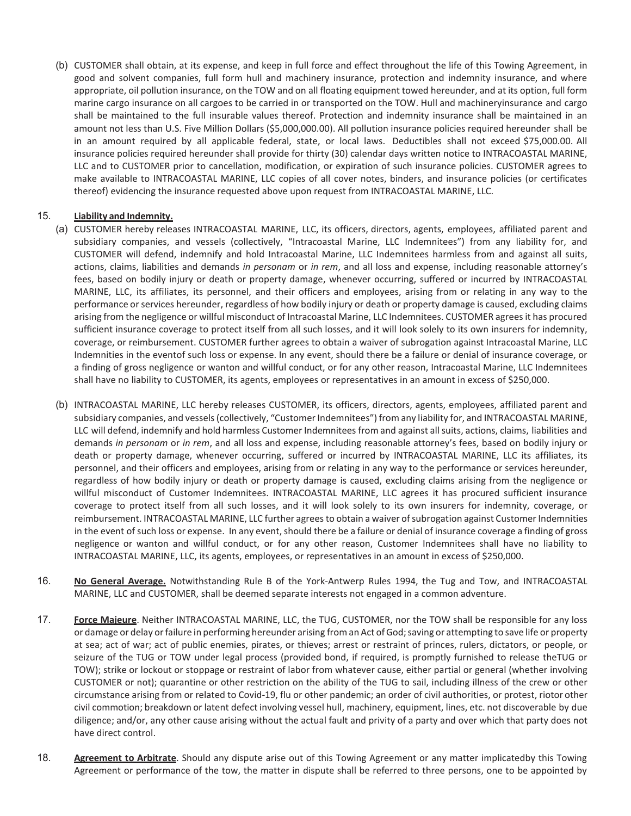(b) CUSTOMER shall obtain, at its expense, and keep in full force and effect throughout the life of this Towing Agreement, in good and solvent companies, full form hull and machinery insurance, protection and indemnity insurance, and where appropriate, oil pollution insurance, on the TOW and on all floating equipment towed hereunder, and at its option, full form marine cargo insurance on all cargoes to be carried in or transported on the TOW. Hull and machinery insurance and cargo shall be maintained to the full insurable values thereof. Protection and indemnity insurance shall be maintained in an amount not less than U.S. Five Million Dollars (\$5,000,000.00). All pollution insurance policies required hereunder shall be in an amount required by all applicable federal, state, or local laws. Deductibles shall not exceed \$75,000.00. All insurance policies required hereunder shall provide for thirty (30) calendar days written notice to INTRACOASTAL MARINE, LLC and to CUSTOMER prior to cancellation, modification, or expiration of such insurance policies. CUSTOMER agrees to make available to INTRACOASTAL MARINE, LLC copies of all cover notes, binders, and insurance policies (or certificates thereof) evidencing the insurance requested above upon request from INTRACOASTAL MARINE, LLC.

#### 15. **Liability and Indemnity.**

- (a) CUSTOMER hereby releases INTRACOASTAL MARINE, LLC, its officers, directors, agents, employees, affiliated parent and subsidiary companies, and vessels (collectively, "Intracoastal Marine, LLC Indemnitees") from any liability for, and CUSTOMER will defend, indemnify and hold Intracoastal Marine, LLC Indemnitees harmless from and against all suits, actions, claims, liabilities and demands *in personam* or *in rem*, and all loss and expense, including reasonable attorney's fees, based on bodily injury or death or property damage, whenever occurring, suffered or incurred by INTRACOASTAL MARINE, LLC, its affiliates, its personnel, and their officers and employees, arising from or relating in any way to the performance or services hereunder, regardless of how bodily injury or death or property damage is caused, excluding claims arising from the negligence or willful misconduct of Intracoastal Marine, LLC Indemnitees. CUSTOMER agrees it has procured sufficient insurance coverage to protect itself from all such losses, and it will look solely to its own insurers for indemnity, coverage, or reimbursement. CUSTOMER further agrees to obtain a waiver of subrogation against Intracoastal Marine, LLC Indemnities in the eventof such loss or expense. In any event, should there be a failure or denial of insurance coverage, or a finding of gross negligence or wanton and willful conduct, or for any other reason, Intracoastal Marine, LLC Indemnitees shall have no liability to CUSTOMER, its agents, employees or representatives in an amount in excess of \$250,000.
- (b) INTRACOASTAL MARINE, LLC hereby releases CUSTOMER, its officers, directors, agents, employees, affiliated parent and subsidiary companies, and vessels (collectively, "Customer Indemnitees") from any liability for, and INTRACOASTAL MARINE, LLC will defend, indemnify and hold harmless Customer Indemnitees from and against all suits, actions, claims, liabilities and demands *in personam* or *in rem*, and all loss and expense, including reasonable attorney's fees, based on bodily injury or death or property damage, whenever occurring, suffered or incurred by INTRACOASTAL MARINE, LLC its affiliates, its personnel, and their officers and employees, arising from or relating in any way to the performance or services hereunder, regardless of how bodily injury or death or property damage is caused, excluding claims arising from the negligence or willful misconduct of Customer Indemnitees. INTRACOASTAL MARINE, LLC agrees it has procured sufficient insurance coverage to protect itself from all such losses, and it will look solely to its own insurers for indemnity, coverage, or reimbursement. INTRACOASTAL MARINE, LLC further agrees to obtain a waiver of subrogation against Customer Indemnities in the event of such loss or expense. In any event, should there be a failure or denial of insurance coverage a finding of gross negligence or wanton and willful conduct, or for any other reason, Customer Indemnitees shall have no liability to INTRACOASTAL MARINE, LLC, its agents, employees, or representatives in an amount in excess of \$250,000.
- 16. **No General Average.** Notwithstanding Rule B of the York-Antwerp Rules 1994, the Tug and Tow, and INTRACOASTAL MARINE, LLC and CUSTOMER, shall be deemed separate interests not engaged in a common adventure.
- 17. **Force Majeure**. Neither INTRACOASTAL MARINE, LLC, the TUG, CUSTOMER, nor the TOW shall be responsible for any loss or damage or delay or failure in performing hereunder arising from an Act of God; saving or attempting to save life or property at sea; act of war; act of public enemies, pirates, or thieves; arrest or restraint of princes, rulers, dictators, or people, or seizure of the TUG or TOW under legal process (provided bond, if required, is promptly furnished to release the TUG or TOW); strike or lockout or stoppage or restraint of labor from whatever cause, either partial or general (whether involving CUSTOMER or not); quarantine or other restriction on the ability of the TUG to sail, including illness of the crew or other circumstance arising from or related to Covid-19, flu or other pandemic; an order of civil authorities, or protest, riotor other civil commotion; breakdown or latent defect involving vessel hull, machinery, equipment, lines, etc. not discoverable by due diligence; and/or, any other cause arising without the actual fault and privity of a party and over which that party does not have direct control.
- 18. **Agreement to Arbitrate**. Should any dispute arise out of this Towing Agreement or any matter implicatedby this Towing Agreement or performance of the tow, the matter in dispute shall be referred to three persons, one to be appointed by